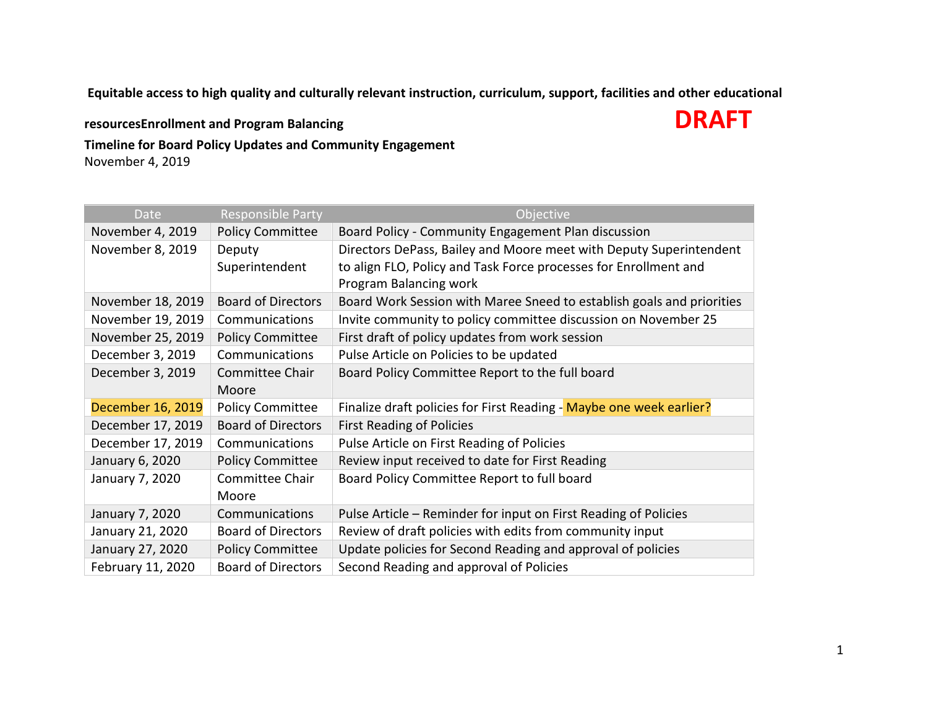**Equitable access to high quality and culturally relevant instruction, curriculum, support, facilities and other educational** 

**resourcesEnrollment and Program Balancing DRAFT** 

**Timeline for Board Policy Updates and Community Engagement** November 4, 2019

| Date              | <b>Responsible Party</b>  | Objective                                                                                                                              |
|-------------------|---------------------------|----------------------------------------------------------------------------------------------------------------------------------------|
| November 4, 2019  | <b>Policy Committee</b>   | Board Policy - Community Engagement Plan discussion                                                                                    |
| November 8, 2019  | Deputy<br>Superintendent  | Directors DePass, Bailey and Moore meet with Deputy Superintendent<br>to align FLO, Policy and Task Force processes for Enrollment and |
|                   |                           | Program Balancing work                                                                                                                 |
| November 18, 2019 | <b>Board of Directors</b> | Board Work Session with Maree Sneed to establish goals and priorities                                                                  |
| November 19, 2019 | Communications            | Invite community to policy committee discussion on November 25                                                                         |
| November 25, 2019 | <b>Policy Committee</b>   | First draft of policy updates from work session                                                                                        |
| December 3, 2019  | Communications            | Pulse Article on Policies to be updated                                                                                                |
| December 3, 2019  | Committee Chair           | Board Policy Committee Report to the full board                                                                                        |
|                   | Moore                     |                                                                                                                                        |
| December 16, 2019 | <b>Policy Committee</b>   | Finalize draft policies for First Reading - Maybe one week earlier?                                                                    |
| December 17, 2019 | <b>Board of Directors</b> | <b>First Reading of Policies</b>                                                                                                       |
| December 17, 2019 | Communications            | Pulse Article on First Reading of Policies                                                                                             |
| January 6, 2020   | <b>Policy Committee</b>   | Review input received to date for First Reading                                                                                        |
| January 7, 2020   | Committee Chair           | Board Policy Committee Report to full board                                                                                            |
|                   | Moore                     |                                                                                                                                        |
| January 7, 2020   | Communications            | Pulse Article - Reminder for input on First Reading of Policies                                                                        |
| January 21, 2020  | <b>Board of Directors</b> | Review of draft policies with edits from community input                                                                               |
| January 27, 2020  | <b>Policy Committee</b>   | Update policies for Second Reading and approval of policies                                                                            |
| February 11, 2020 | <b>Board of Directors</b> | Second Reading and approval of Policies                                                                                                |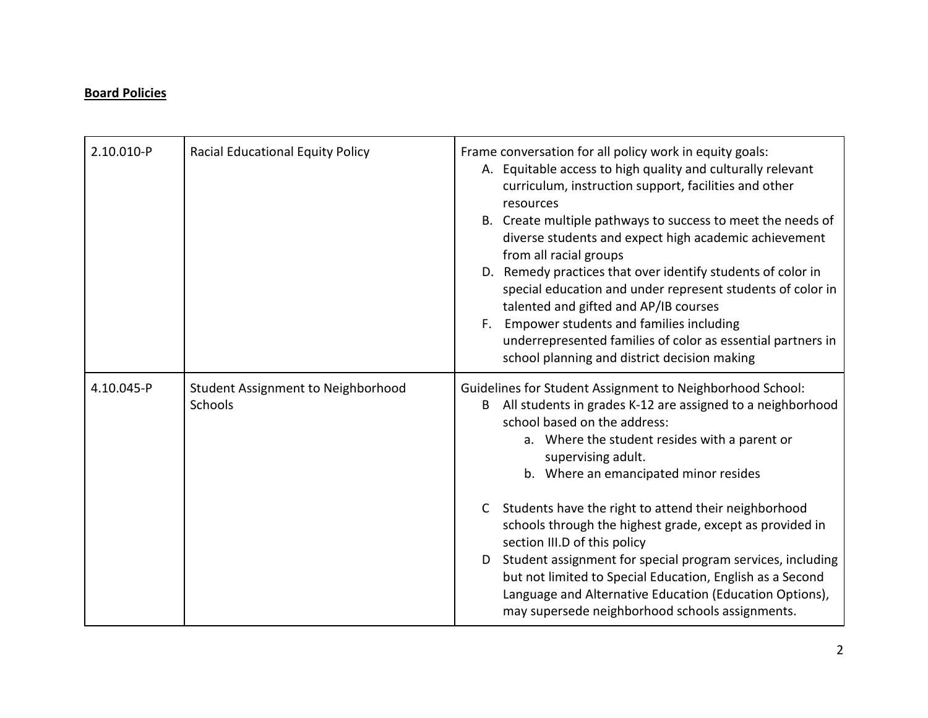## **Board Policies**

| 2.10.010-P | <b>Racial Educational Equity Policy</b>              | Frame conversation for all policy work in equity goals:<br>A. Equitable access to high quality and culturally relevant<br>curriculum, instruction support, facilities and other<br>resources<br>B. Create multiple pathways to success to meet the needs of<br>diverse students and expect high academic achievement<br>from all racial groups<br>D. Remedy practices that over identify students of color in<br>special education and under represent students of color in<br>talented and gifted and AP/IB courses<br>Empower students and families including<br>F.<br>underrepresented families of color as essential partners in<br>school planning and district decision making           |
|------------|------------------------------------------------------|------------------------------------------------------------------------------------------------------------------------------------------------------------------------------------------------------------------------------------------------------------------------------------------------------------------------------------------------------------------------------------------------------------------------------------------------------------------------------------------------------------------------------------------------------------------------------------------------------------------------------------------------------------------------------------------------|
| 4.10.045-P | <b>Student Assignment to Neighborhood</b><br>Schools | Guidelines for Student Assignment to Neighborhood School:<br>All students in grades K-12 are assigned to a neighborhood<br>B<br>school based on the address:<br>a. Where the student resides with a parent or<br>supervising adult.<br>b. Where an emancipated minor resides<br>Students have the right to attend their neighborhood<br>$\mathsf{C}$<br>schools through the highest grade, except as provided in<br>section III.D of this policy<br>Student assignment for special program services, including<br>D<br>but not limited to Special Education, English as a Second<br>Language and Alternative Education (Education Options),<br>may supersede neighborhood schools assignments. |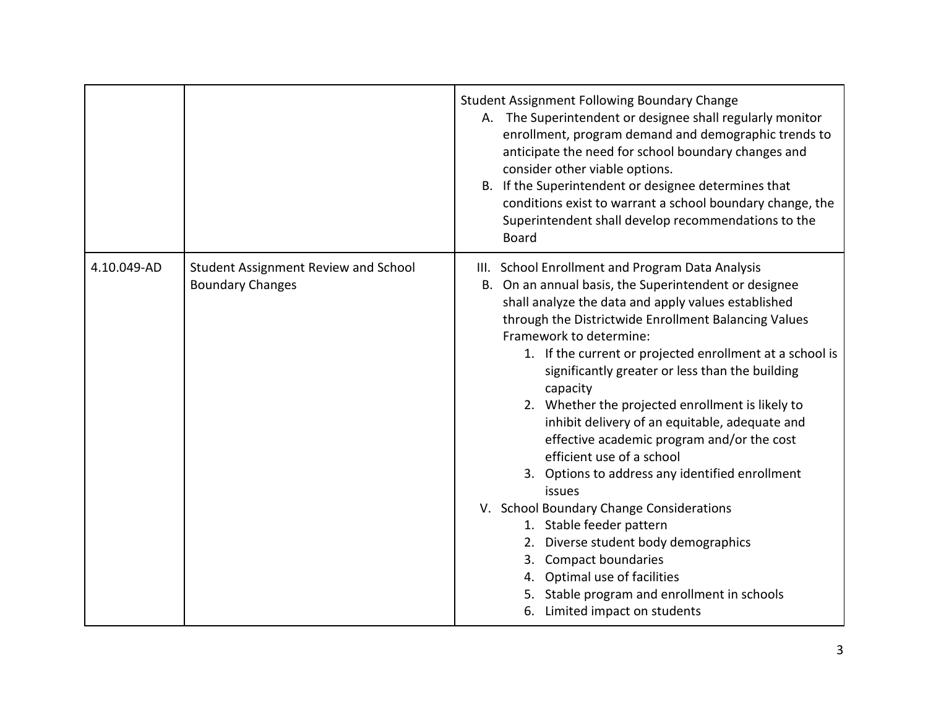|             |                                                                 | <b>Student Assignment Following Boundary Change</b><br>A. The Superintendent or designee shall regularly monitor<br>enrollment, program demand and demographic trends to<br>anticipate the need for school boundary changes and<br>consider other viable options.<br>B. If the Superintendent or designee determines that<br>conditions exist to warrant a school boundary change, the<br>Superintendent shall develop recommendations to the<br><b>Board</b>                                                                                                                                                                                                                                                                                                                                                                                                                         |
|-------------|-----------------------------------------------------------------|---------------------------------------------------------------------------------------------------------------------------------------------------------------------------------------------------------------------------------------------------------------------------------------------------------------------------------------------------------------------------------------------------------------------------------------------------------------------------------------------------------------------------------------------------------------------------------------------------------------------------------------------------------------------------------------------------------------------------------------------------------------------------------------------------------------------------------------------------------------------------------------|
| 4.10.049-AD | Student Assignment Review and School<br><b>Boundary Changes</b> | III. School Enrollment and Program Data Analysis<br>B. On an annual basis, the Superintendent or designee<br>shall analyze the data and apply values established<br>through the Districtwide Enrollment Balancing Values<br>Framework to determine:<br>1. If the current or projected enrollment at a school is<br>significantly greater or less than the building<br>capacity<br>2. Whether the projected enrollment is likely to<br>inhibit delivery of an equitable, adequate and<br>effective academic program and/or the cost<br>efficient use of a school<br>3. Options to address any identified enrollment<br>issues<br>V. School Boundary Change Considerations<br>1. Stable feeder pattern<br>2. Diverse student body demographics<br>3. Compact boundaries<br>4. Optimal use of facilities<br>5. Stable program and enrollment in schools<br>6. Limited impact on students |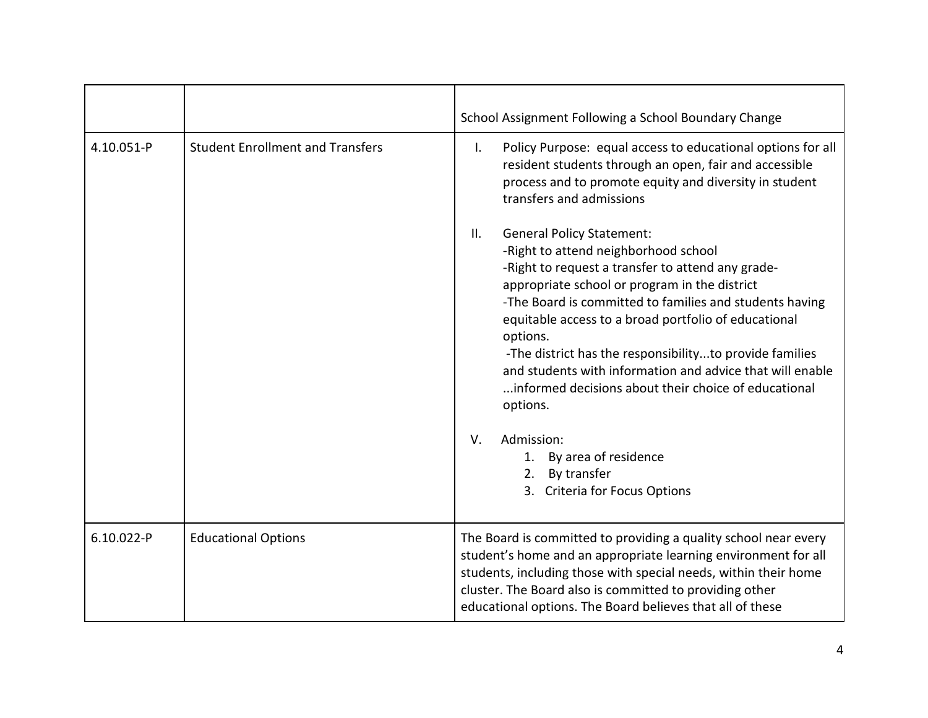|            |                                         | School Assignment Following a School Boundary Change                                                                                                                                                                                                                                                                                                                                                                                                                                                                                                                                                |
|------------|-----------------------------------------|-----------------------------------------------------------------------------------------------------------------------------------------------------------------------------------------------------------------------------------------------------------------------------------------------------------------------------------------------------------------------------------------------------------------------------------------------------------------------------------------------------------------------------------------------------------------------------------------------------|
| 4.10.051-P | <b>Student Enrollment and Transfers</b> | Policy Purpose: equal access to educational options for all<br>Τ.<br>resident students through an open, fair and accessible<br>process and to promote equity and diversity in student<br>transfers and admissions                                                                                                                                                                                                                                                                                                                                                                                   |
|            |                                         | <b>General Policy Statement:</b><br>$\mathbf{II}$ .<br>-Right to attend neighborhood school<br>-Right to request a transfer to attend any grade-<br>appropriate school or program in the district<br>-The Board is committed to families and students having<br>equitable access to a broad portfolio of educational<br>options.<br>-The district has the responsibilityto provide families<br>and students with information and advice that will enable<br>informed decisions about their choice of educational<br>options.<br>Admission:<br>V.<br>By area of residence<br>1.<br>By transfer<br>2. |
|            |                                         | 3. Criteria for Focus Options                                                                                                                                                                                                                                                                                                                                                                                                                                                                                                                                                                       |
| 6.10.022-P | <b>Educational Options</b>              | The Board is committed to providing a quality school near every<br>student's home and an appropriate learning environment for all<br>students, including those with special needs, within their home<br>cluster. The Board also is committed to providing other<br>educational options. The Board believes that all of these                                                                                                                                                                                                                                                                        |